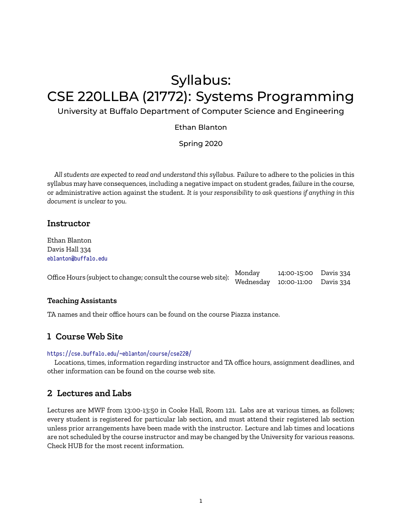# Syllabus: CSE 220LLBA (21772): Systems Programming

### University at Buffalo Department of Computer Science and Engineering

#### Ethan Blanton

Spring 2020

*All students are expected to read and understand this syllabus.* Failure to adhere to the policies in this syllabus may have consequences, including a negative impact on student grades, failure in the course, or administrative action against the student. *It is your responsibility to ask questions if anything in this document is unclear to you.*

### **Instructor**

Ethan Blanton Davis Hall 334 <eblanton@buffalo.edu>

| Office Hours (subject to change; consult the course web site): Monday 14:00-15:00 Davis 334<br>Wednesday 10:00-11:00 Davis 334 |  |  |
|--------------------------------------------------------------------------------------------------------------------------------|--|--|
|                                                                                                                                |  |  |

#### **Teaching Assistants**

TA names and their office hours can be found on the course Piazza instance.

### **1 Course Web Site**

#### <https://cse.buffalo.edu/~eblanton/course/cse220/>

Locations, times, information regarding instructor and TA office hours, assignment deadlines, and other information can be found on the course web site.

### **2 Lectures and Labs**

Lectures are MWF from 13:00-13:50 in Cooke Hall, Room 121. Labs are at various times, as follows; every student is registered for particular lab section, and must attend their registered lab section unless prior arrangements have been made with the instructor. Lecture and lab times and locations are not scheduled by the course instructor and may be changed by the University for various reasons. Check HUB for the most recent information.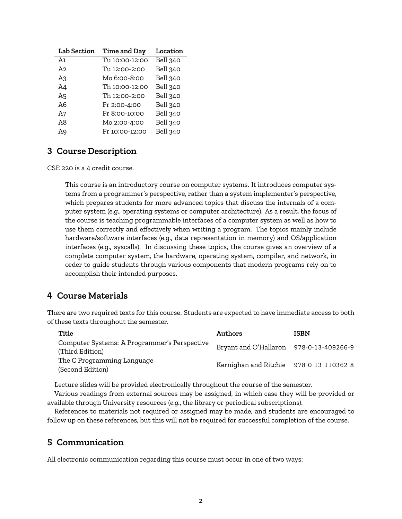| <b>Lab Section</b> | <b>Time and Day</b> | Location |
|--------------------|---------------------|----------|
| Ā٦                 | Tu 10:00-12:00      | Bell 340 |
| A2                 | Tu 12:00-2:00       | Bell 340 |
| A3                 | Mo 6:00-8:00        | Bell 340 |
| A4                 | Th 10:00-12:00      | Bell 340 |
| A5                 | Th 12:00-2:00       | Bell 340 |
| A6                 | Fr 2:00-4:00        | Bell 340 |
| A7                 | Fr 8:00-10:00       | Bell 340 |
| A8                 | Mo 2:00-4:00        | Bell 340 |
| Α9                 | Fr 10:00-12:00      | Bell 340 |

## **3 Course Description**

CSE 220 is a 4 credit course.

This course is an introductory course on computer systems. It introduces computer systems from a programmer's perspective, rather than a system implementer's perspective, which prepares students for more advanced topics that discuss the internals of a computer system (e.g., operating systems or computer architecture). As a result, the focus of the course is teaching programmable interfaces of a computer system as well as how to use them correctly and effectively when writing a program. The topics mainly include hardware/software interfaces (e.g., data representation in memory) and OS/application interfaces (e.g., syscalls). In discussing these topics, the course gives an overview of a complete computer system, the hardware, operating system, compiler, and network, in order to guide students through various components that modern programs rely on to accomplish their intended purposes.

# **4 Course Materials**

There are two required texts for this course. Students are expected to have immediate access to both of these texts throughout the semester.

| Title                                                           | Authors                                 | <b>ISBN</b> |
|-----------------------------------------------------------------|-----------------------------------------|-------------|
| Computer Systems: A Programmer's Perspective<br>(Third Edition) | Bryant and O'Hallaron 978-0-13-409266-9 |             |
| The C Programming Language<br>(Second Edition)                  | Kernighan and Ritchie 978-0-13-110362-8 |             |

Lecture slides will be provided electronically throughout the course of the semester.

Various readings from external sources may be assigned, in which case they will be provided or available through University resources (*e.g.*, the library or periodical subscriptions).

References to materials not required or assigned may be made, and students are encouraged to follow up on these references, but this will not be required for successful completion of the course.

## **5 Communication**

All electronic communication regarding this course must occur in one of two ways: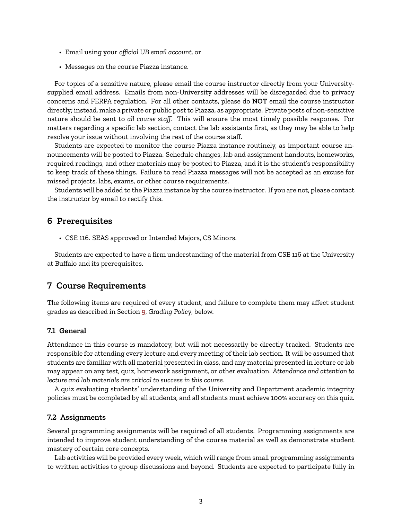- Email using your *official UB email account*, or
- Messages on the course Piazza instance.

For topics of a sensitive nature, please email the course instructor directly from your Universitysupplied email address. Emails from non-University addresses will be disregarded due to privacy concerns and FERPA regulation. For all other contacts, please do **NOT** email the course instructor directly; instead, make a private or public post to Piazza, as appropriate. Private posts of non-sensitive nature should be sent to *all course staff*. This will ensure the most timely possible response. For matters regarding a specific lab section, contact the lab assistants first, as they may be able to help resolve your issue without involving the rest of the course staff.

Students are expected to monitor the course Piazza instance routinely, as important course announcements will be posted to Piazza. Schedule changes, lab and assignment handouts, homeworks, required readings, and other materials may be posted to Piazza, and it is the student's responsibility to keep track of these things. Failure to read Piazza messages will not be accepted as an excuse for missed projects, labs, exams, or other course requirements.

Students will be added to the Piazza instance by the course instructor. If you are not, please contact the instructor by email to rectify this.

### **6 Prerequisites**

• CSE 116. SEAS approved or Intended Majors, CS Minors.

Students are expected to have a firm understanding of the material from CSE 116 at the University at Buffalo and its prerequisites.

### **7 Course Requirements**

The following items are required of every student, and failure to complete them may affect student grades as described in Section [9,](#page-6-0) *Grading Policy*, below.

#### **7.1 General**

Attendance in this course is mandatory, but will not necessarily be directly tracked. Students are responsible for attending every lecture and every meeting of their lab section. It will be assumed that students are familiar with all material presented in class, and any material presented in lecture or lab may appear on any test, quiz, homework assignment, or other evaluation. *Attendance and attention to lecture and lab materials are critical to success in this course.*

A quiz evaluating students' understanding of the University and Department academic integrity policies must be completed by all students, and all students must achieve 100% accuracy on this quiz.

#### **7.2 Assignments**

Several programming assignments will be required of all students. Programming assignments are intended to improve student understanding of the course material as well as demonstrate student mastery of certain core concepts.

Lab activities will be provided every week, which will range from small programming assignments to written activities to group discussions and beyond. Students are expected to participate fully in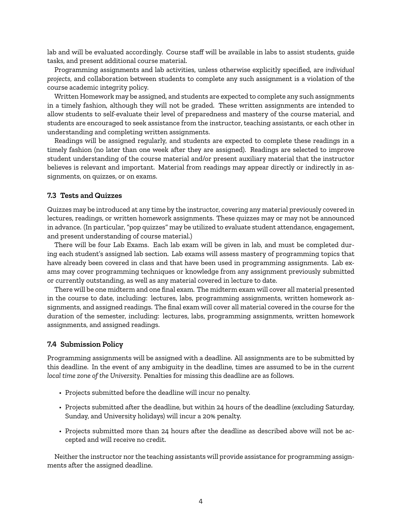lab and will be evaluated accordingly. Course staff will be available in labs to assist students, guide tasks, and present additional course material.

Programming assignments and lab activities, unless otherwise explicitly specified, are *individual projects*, and collaboration between students to complete any such assignment is a violation of the course academic integrity policy.

Written Homework may be assigned, and students are expected to complete any such assignments in a timely fashion, although they will not be graded. These written assignments are intended to allow students to self-evaluate their level of preparedness and mastery of the course material, and students are encouraged to seek assistance from the instructor, teaching assistants, or each other in understanding and completing written assignments.

Readings will be assigned regularly, and students are expected to complete these readings in a timely fashion (no later than one week after they are assigned). Readings are selected to improve student understanding of the course material and/or present auxiliary material that the instructor believes is relevant and important. Material from readings may appear directly or indirectly in assignments, on quizzes, or on exams.

#### **7.3 Tests and Quizzes**

Quizzes may be introduced at any time by the instructor, covering any material previously covered in lectures, readings, or written homework assignments. These quizzes may or may not be announced in advance. (In particular, "pop quizzes" may be utilized to evaluate student attendance, engagement, and present understanding of course material.)

There will be four Lab Exams. Each lab exam will be given in lab, and must be completed during each student's assigned lab section. Lab exams will assess mastery of programming topics that have already been covered in class and that have been used in programming assignments. Lab exams may cover programming techniques or knowledge from any assignment previously submitted or currently outstanding, as well as any material covered in lecture to date.

There will be one midterm and one final exam. The midterm exam will cover all material presented in the course to date, including: lectures, labs, programming assignments, written homework assignments, and assigned readings. The final exam will cover all material covered in the course for the duration of the semester, including: lectures, labs, programming assignments, written homework assignments, and assigned readings.

#### **7.4 Submission Policy**

Programming assignments will be assigned with a deadline. All assignments are to be submitted by this deadline. In the event of any ambiguity in the deadline, times are assumed to be in the *current local time zone of the University*. Penalties for missing this deadline are as follows.

- Projects submitted before the deadline will incur no penalty.
- Projects submitted after the deadline, but within 24 hours of the deadline (excluding Saturday, Sunday, and University holidays) will incur a 20% penalty.
- Projects submitted more than 24 hours after the deadline as described above will not be accepted and will receive no credit.

Neither the instructor nor the teaching assistants will provide assistance for programming assignments after the assigned deadline.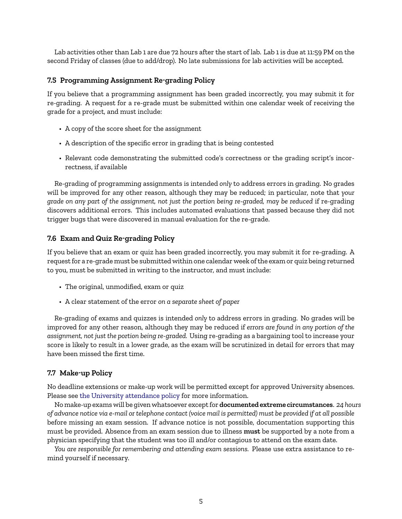Lab activities other than Lab 1 are due 72 hours after the start of lab. Lab 1 is due at 11:59 PM on the second Friday of classes (due to add/drop). No late submissions for lab activities will be accepted.

#### <span id="page-4-0"></span>**7.5 Programming Assignment Re-grading Policy**

If you believe that a programming assignment has been graded incorrectly, you may submit it for re-grading. A request for a re-grade must be submitted within one calendar week of receiving the grade for a project, and must include:

- A copy of the score sheet for the assignment
- A description of the specific error in grading that is being contested
- Relevant code demonstrating the submitted code's correctness or the grading script's incorrectness, if available

Re-grading of programming assignments is intended *only* to address errors in grading. No grades will be improved for any other reason, although they may be reduced; in particular, note that *your grade on any part of the assignment, not just the portion being re-graded, may be reduced* if re-grading discovers additional errors. This includes automated evaluations that passed because they did not trigger bugs that were discovered in manual evaluation for the re-grade.

#### <span id="page-4-1"></span>**7.6 Exam and Quiz Re-grading Policy**

If you believe that an exam or quiz has been graded incorrectly, you may submit it for re-grading. A request for a re-grade must be submitted within one calendar week of the exam or quiz being returned to you, must be submitted in writing to the instructor, and must include:

- The original, unmodified, exam or quiz
- A clear statement of the error *on a separate sheet of paper*

Re-grading of exams and quizzes is intended *only* to address errors in grading. No grades will be improved for any other reason, although they may be reduced if *errors are found in any portion of the assignment, not just the portion being re-graded.* Using re-grading as a bargaining tool to increase your score is likely to result in a lower grade, as the exam will be scrutinized in detail for errors that may have been missed the first time.

#### **7.7 Make-up Policy**

No deadline extensions or make-up work will be permitted except for approved University absences. Please see [the University attendance policy](https://catalog.buffalo.edu/policies/attendance.html) for more information.

No make-up exams will be given whatsoever except for **documented extreme circumstances**. *24 hours of advance notice via e-mail or telephone contact (voice mail is permitted) must be provided if at all possible* before missing an exam session. If advance notice is not possible, documentation supporting this must be provided. Absence from an exam session due to illness **must** be supported by a note from a physician specifying that the student was too ill and/or contagious to attend on the exam date.

*You are responsible for remembering and attending exam sessions.* Please use extra assistance to remind yourself if necessary.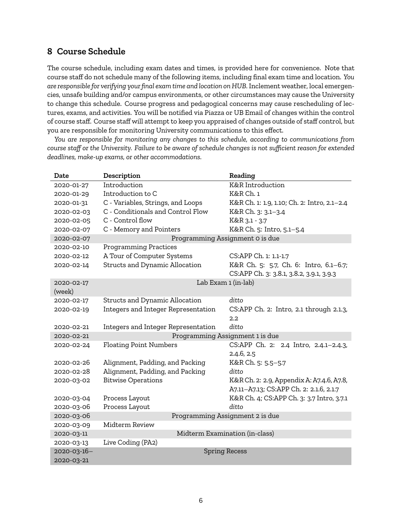# **8 Course Schedule**

The course schedule, including exam dates and times, is provided here for convenience. Note that course staff do not schedule many of the following items, including final exam time and location. *You are responsible for verifying your final exam time and location on HUB.* Inclement weather, local emergencies, unsafe building and/or campus environments, or other circumstances may cause the University to change this schedule. Course progress and pedagogical concerns may cause rescheduling of lectures, exams, and activities. You will be notified via Piazza or UB Email of changes within the control of course staff. Course staff will attempt to keep you appraised of changes outside of staff control, but you are responsible for monitoring University communications to this effect.

*You are responsible for monitoring any changes to this schedule, according to communications from course staff or the University. Failure to be aware of schedule changes is not sufficient reason for extended deadlines, make-up exams, or other accommodations.*

| Date        | Description                         | Reading                                     |  |
|-------------|-------------------------------------|---------------------------------------------|--|
| 2020-01-27  | Introduction                        | K&R Introduction                            |  |
| 2020-01-29  | Introduction to C                   | K&R Ch. 1                                   |  |
| 2020-01-31  | C - Variables, Strings, and Loops   | K&R Ch. 1: 1.9, 1.10; Ch. 2: Intro, 2.1-2.4 |  |
| 2020-02-03  | C - Conditionals and Control Flow   | K&R Ch. 3: 3.1-3.4                          |  |
| 2020-02-05  | C - Control flow                    | K&R 3.1 - 3.7                               |  |
| 2020-02-07  | C - Memory and Pointers             | K&R Ch. 5: Intro, 5.1-5.4                   |  |
| 2020-02-07  | Programming Assignment 0 is due     |                                             |  |
| 2020-02-10  | <b>Programming Practices</b>        |                                             |  |
| 2020-02-12  | A Tour of Computer Systems          | CS:APP Ch. 1: 1.1-1.7                       |  |
| 2020-02-14  | Structs and Dynamic Allocation      | K&R Ch. 5: 5.7, Ch. 6: Intro, 6.1-6.7;      |  |
|             |                                     | CS:APP Ch. 3: 3.8.1, 3.8.2, 3.9.1, 3.9.3    |  |
| 2020-02-17  | Lab Exam 1 (in-lab)                 |                                             |  |
| (week)      |                                     |                                             |  |
| 2020-02-17  | Structs and Dynamic Allocation      | ditto                                       |  |
| 2020-02-19  | Integers and Integer Representation | CS:APP Ch. 2: Intro, 2.1 through 2.1.3,     |  |
|             |                                     | 2.2                                         |  |
| 2020-02-21  | Integers and Integer Representation | ditto                                       |  |
| 2020-02-21  | Programming Assignment 1 is due     |                                             |  |
| 2020-02-24  | <b>Floating Point Numbers</b>       | CS:APP Ch. 2: 2.4 Intro, 2.4.1-2.4.3,       |  |
|             |                                     | 2.4.6, 2.5                                  |  |
| 2020-02-26  | Alignment, Padding, and Packing     | K&R Ch. 5: 5.5-5.7                          |  |
| 2020-02-28  | Alignment, Padding, and Packing     | ditto                                       |  |
| 2020-03-02  | <b>Bitwise Operations</b>           | K&R Ch. 2: 2.9, Appendix A: A7.4.6, A7.8,   |  |
|             |                                     | A7.11-A7.13; CS:APP Ch. 2: 2.1.6, 2.1.7     |  |
| 2020-03-04  | Process Layout                      | K&R Ch. 4; CS:APP Ch. 3: 3.7 Intro, 3.7.1   |  |
| 2020-03-06  | Process Layout                      | ditto                                       |  |
| 2020-03-06  | Programming Assignment 2 is due     |                                             |  |
| 2020-03-09  | Midterm Review                      |                                             |  |
| 2020-03-11  | Midterm Examination (in-class)      |                                             |  |
| 2020-03-13  | Live Coding (PA2)                   |                                             |  |
| 2020-03-16- | <b>Spring Recess</b>                |                                             |  |
| 2020-03-21  |                                     |                                             |  |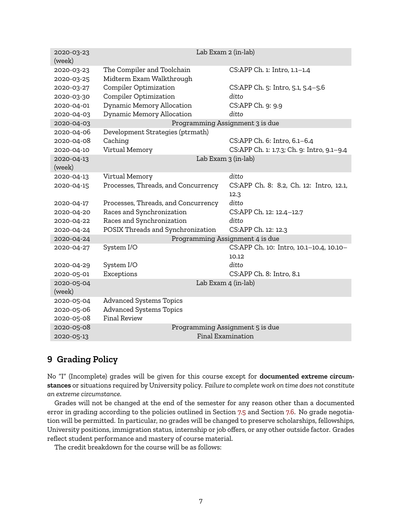| 2020-03-23<br>(week) | Lab Exam 2 (in-lab)                 |                                            |  |
|----------------------|-------------------------------------|--------------------------------------------|--|
| 2020-03-23           | The Compiler and Toolchain          | CS:APP Ch. 1: Intro, 1.1-1.4               |  |
| 2020-03-25           | Midterm Exam Walkthrough            |                                            |  |
| 2020-03-27           | <b>Compiler Optimization</b>        | CS:APP Ch. 5: Intro, 5.1, 5.4-5.6          |  |
| 2020-03-30           | <b>Compiler Optimization</b>        | ditto                                      |  |
| 2020-04-01           | Dynamic Memory Allocation           | CS:APP Ch. 9: 9.9                          |  |
| 2020-04-03           | Dynamic Memory Allocation           | ditto                                      |  |
| 2020-04-03           |                                     | Programming Assignment 3 is due            |  |
| 2020-04-06           | Development Strategies (ptrmath)    |                                            |  |
| 2020-04-08           | Caching                             | CS:APP Ch. 6: Intro, 6.1-6.4               |  |
| 2020-04-10           | Virtual Memory                      | CS:APP Ch. 1: 1.7.3; Ch. 9: Intro, 9.1-9.4 |  |
| 2020-04-13           |                                     | Lab Exam 3 (in-lab)                        |  |
| (week)               |                                     |                                            |  |
| 2020-04-13           | Virtual Memory                      | ditto                                      |  |
| 2020-04-15           | Processes, Threads, and Concurrency | CS:APP Ch. 8: 8.2, Ch. 12: Intro, 12.1,    |  |
|                      |                                     | 12.3                                       |  |
| 2020-04-17           | Processes, Threads, and Concurrency | ditto                                      |  |
| 2020-04-20           | Races and Synchronization           | CS:APP Ch. 12: 12.4-12.7                   |  |
| 2020-04-22           | Races and Synchronization           | ditto                                      |  |
| 2020-04-24           | POSIX Threads and Synchronization   | CS:APP Ch. 12: 12.3                        |  |
| 2020-04-24           | Programming Assignment 4 is due     |                                            |  |
| 2020-04-27           | System I/O                          | CS:APP Ch. 10: Intro, 10.1-10.4, 10.10-    |  |
|                      |                                     | 10.12                                      |  |
| 2020-04-29           | System I/O                          | ditto                                      |  |
| 2020-05-01           | Exceptions                          | CS:APP Ch. 8: Intro, 8.1                   |  |
| 2020-05-04           |                                     | Lab Exam 4 (in-lab)                        |  |
| (week)               |                                     |                                            |  |
| 2020-05-04           | <b>Advanced Systems Topics</b>      |                                            |  |
| 2020-05-06           | <b>Advanced Systems Topics</b>      |                                            |  |
| 2020-05-08           | <b>Final Review</b>                 |                                            |  |
| 2020-05-08           |                                     | Programming Assignment 5 is due            |  |
| 2020-05-13           | Final Examination                   |                                            |  |

# <span id="page-6-0"></span>**9 Grading Policy**

No "I" (Incomplete) grades will be given for this course except for **documented extreme circumstances** or situations required by University policy. *Failure to complete work on time does not constitute an extreme circumstance.*

Grades will not be changed at the end of the semester for any reason other than a documented error in grading according to the policies outlined in Section [7.5](#page-4-0) and Section [7.6](#page-4-1). No grade negotiation will be permitted. In particular, no grades will be changed to preserve scholarships, fellowships, University positions, immigration status, internship or job offers, or any other outside factor. Grades reflect student performance and mastery of course material.

The credit breakdown for the course will be as follows: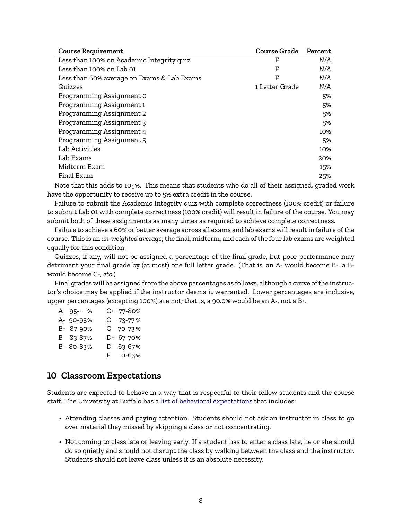| <b>Course Requirement</b>                  | <b>Course Grade</b> | Percent |
|--------------------------------------------|---------------------|---------|
| Less than 100% on Academic Integrity quiz  | F                   | N/A     |
| Less than 100% on Lab 01                   | F                   | N/A     |
| Less than 60% average on Exams & Lab Exams | F                   | N/A     |
| Quizzes                                    | 1 Letter Grade      | N/A     |
| Programming Assignment 0                   |                     | 5%      |
| Programming Assignment 1                   |                     | 5%      |
| Programming Assignment 2                   |                     | 5%      |
| Programming Assignment 3                   |                     | 5%      |
| Programming Assignment 4                   |                     | 10%     |
| Programming Assignment 5                   |                     | 5%      |
| Lab Activities                             |                     | 10%     |
| Lab Exams                                  |                     | 20%     |
| Midterm Exam                               |                     | 15%     |
| Final Exam                                 |                     | 25%     |

Note that this adds to 105%. This means that students who do all of their assigned, graded work have the opportunity to receive up to 5% extra credit in the course.

Failure to submit the Academic Integrity quiz with complete correctness (100% credit) or failure to submit Lab 01 with complete correctness (100% credit) will result in failure of the course. You may submit both of these assignments as many times as required to achieve complete correctness.

Failure to achieve a 60% or better average across all exams and lab exams will result in failure of the course. This is an *un-weighted average*; the final, midterm, and each of the four lab exams are weighted equally for this condition.

Quizzes, if any, will not be assigned a percentage of the final grade, but poor performance may detriment your final grade by (at most) one full letter grade. (That is, an A- would become B-, a Bwould become C-, *etc.*)

Final grades will be assigned from the above percentages as follows, although a curve of the instructor's choice may be applied if the instructor deems it warranted. Lower percentages are inclusive, upper percentages (excepting 100%) are not; that is, a 90.0% would be an A-, not a B+.

| A 95-+ %  | C+ 77-80% |
|-----------|-----------|
| A- 90-95% | C 73-77%  |
| B+ 87-90% | C- 70-73% |
| B 83-87%  | D+ 67-70% |
| B- 80-83% | D 63-67%  |
|           | F 0-63%   |

### **10 Classroom Expectations**

Students are expected to behave in a way that is respectful to their fellow students and the course staff. The University at Buffalo has a [list of behavioral expectations](https://catalog.buffalo.edu/policies/obstruction.html) that includes:

- Attending classes and paying attention. Students should not ask an instructor in class to go over material they missed by skipping a class or not concentrating.
- Not coming to class late or leaving early. If a student has to enter a class late, he or she should do so quietly and should not disrupt the class by walking between the class and the instructor. Students should not leave class unless it is an absolute necessity.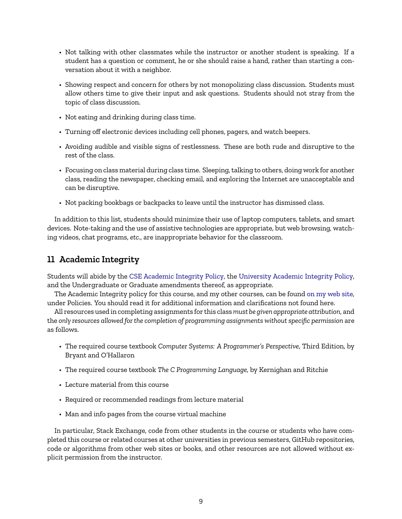- Not talking with other classmates while the instructor or another student is speaking. If a student has a question or comment, he or she should raise a hand, rather than starting a conversation about it with a neighbor.
- Showing respect and concern for others by not monopolizing class discussion. Students must allow others time to give their input and ask questions. Students should not stray from the topic of class discussion.
- Not eating and drinking during class time.
- Turning off electronic devices including cell phones, pagers, and watch beepers.
- Avoiding audible and visible signs of restlessness. These are both rude and disruptive to the rest of the class.
- Focusing on class material during class time. Sleeping, talking to others, doing work for another class, reading the newspaper, checking email, and exploring the Internet are unacceptable and can be disruptive.
- Not packing bookbags or backpacks to leave until the instructor has dismissed class.

In addition to this list, students should minimize their use of laptop computers, tablets, and smart devices. Note-taking and the use of assistive technologies are appropriate, but web browsing, watching videos, chat programs, *etc.*, are inappropriate behavior for the classroom.

# **11 Academic Integrity**

Students will abide by the [CSE Academic Integrity Policy,](https://engineering.buffalo.edu/computer-science-engineering/information-for-students/policies/academic-integrity.html) the [University Academic Integrity Policy,](https://catalog.buffalo.edu/policies/integrity.html) and the Undergraduate or Graduate amendments thereof, as appropriate.

The Academic Integrity policy for this course, and my other courses, can be found [on my web site,](https://cse.buffalo.edu/~eblanton/policy/academic_integrity/) under Policies. You should read it for additional information and clarifications not found here.

All resources used in completing assignments for this class*must be given appropriate attribution*, and the *only resources allowed for the completion of programming assignments without specific permission* are as follows.

- The required course textbook *Computer Systems: A Programmer's Perspective*, Third Edition, by Bryant and O'Hallaron
- The required course textbook *The C Programming Language,* by Kernighan and Ritchie
- Lecture material from this course
- Required or recommended readings from lecture material
- Man and info pages from the course virtual machine

In particular, Stack Exchange, code from other students in the course or students who have completed this course or related courses at other universities in previous semesters, GitHub repositories, code or algorithms from other web sites or books, and other resources are not allowed without explicit permission from the instructor.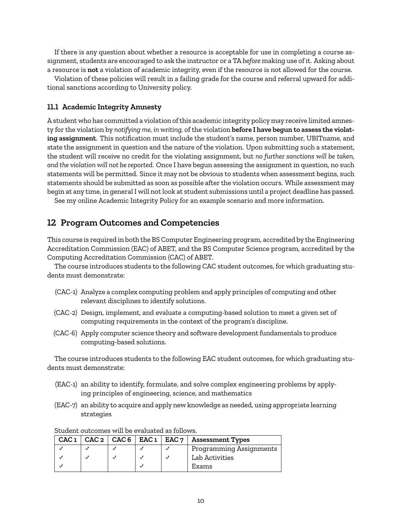If there is any question about whether a resource is acceptable for use in completing a course assignment, students are encouraged to ask the instructor or a TA *before* making use of it. Asking about a resource is **not** a violation of academic integrity, even if the resource is not allowed for the course.

Violation of these policies will result in a failing grade for the course and referral upward for additional sanctions according to University policy.

#### **11.1 Academic Integrity Amnesty**

A student who has committed a violation of this academic integrity policy may receive limited amnesty for the violation by *notifying me, in writing,* of the violation **before I have begun to assess the violating assignment**. This notification must include the student's name, person number, UBITname, and state the assignment in question and the nature of the violation. Upon submitting such a statement, the student will receive no credit for the violating assignment, but *no further sanctions will be taken, and the violation will not be reported*. Once I have begun assessing the assignment in question, no such statements will be permitted. Since it may not be obvious to students when assessment begins, such statements should be submitted as soon as possible after the violation occurs. While assessment may begin at any time, in general I will not look at student submissions until a project deadline has passed.

See my online Academic Integrity Policy for an example scenario and more information.

#### **12 Program Outcomes and Competencies**

This course is required in both the BS Computer Engineering program, accredited by the Engineering Accreditation Commission (EAC) of ABET, and the BS Computer Science program, accredited by the Computing Accreditation Commission (CAC) of ABET.

The course introduces students to the following CAC student outcomes, for which graduating students must demonstrate:

- (CAC-1) Analyze a complex computing problem and apply principles of computing and other relevant disciplines to identify solutions.
- (CAC-2) Design, implement, and evaluate a computing-based solution to meet a given set of computing requirements in the context of the program's discipline.
- (CAC-6) Apply computer science theory and software development fundamentals to produce computing-based solutions.

The course introduces students to the following EAC student outcomes, for which graduating students must demonstrate:

- (EAC-1) an ability to identify, formulate, and solve complex engineering problems by applying principles of engineering, science, and mathematics
- (EAC-7) an ability to acquire and apply new knowledge as needed, using appropriate learning strategies

|  |  | CAC $1  $ CAC $2  $ CAC $6  $ EAC $1  $ EAC $7  $ Assessment Types |
|--|--|--------------------------------------------------------------------|
|  |  | Programming Assignments                                            |
|  |  | Lab Activities                                                     |
|  |  | Exams                                                              |

#### Student outcomes will be evaluated as follows.